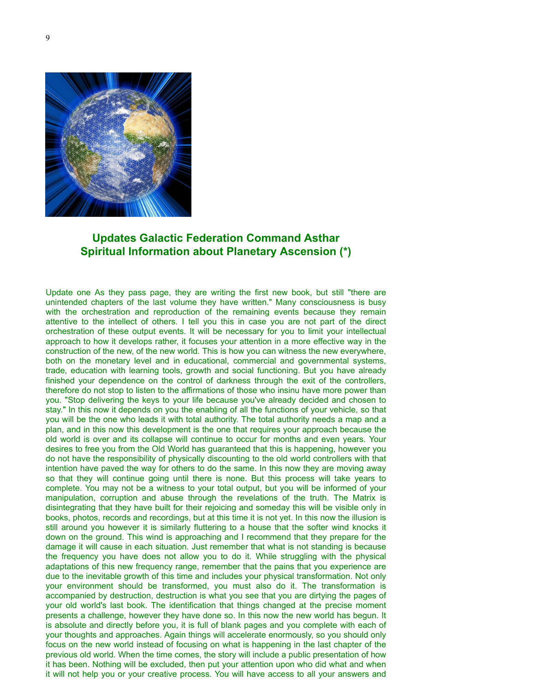

## **Updates Galactic Federation Command Asthar Spiritual Information about Planetary Ascension (\*)**

Update one As they pass page, they are writing the first new book, but still "there are unintended chapters of the last volume they have written." Many consciousness is busy with the orchestration and reproduction of the remaining events because they remain attentive to the intellect of others. I tell you this in case you are not part of the direct orchestration of these output events. It will be necessary for you to limit your intellectual approach to how it develops rather, it focuses your attention in a more effective way in the construction of the new, of the new world. This is how you can witness the new everywhere, both on the monetary level and in educational, commercial and governmental systems, trade, education with learning tools, growth and social functioning. But you have already finished your dependence on the control of darkness through the exit of the controllers, therefore do not stop to listen to the affirmations of those who insinu have more power than you. "Stop delivering the keys to your life because you've already decided and chosen to stay." In this now it depends on you the enabling of all the functions of your vehicle, so that you will be the one who leads it with total authority. The total authority needs a map and a plan, and in this now this development is the one that requires your approach because the old world is over and its collapse will continue to occur for months and even years. Your desires to free you from the Old World has guaranteed that this is happening, however you do not have the responsibility of physically discounting to the old world controllers with that intention have paved the way for others to do the same. In this now they are moving away so that they will continue going until there is none. But this process will take years to complete. You may not be a witness to your total output, but you will be informed of your manipulation, corruption and abuse through the revelations of the truth. The Matrix is disintegrating that they have built for their rejoicing and someday this will be visible only in books, photos, records and recordings, but at this time it is not yet. In this now the illusion is still around you however it is similarly fluttering to a house that the softer wind knocks it down on the ground. This wind is approaching and I recommend that they prepare for the damage it will cause in each situation. Just remember that what is not standing is because the frequency you have does not allow you to do it. While struggling with the physical adaptations of this new frequency range, remember that the pains that you experience are due to the inevitable growth of this time and includes your physical transformation. Not only your environment should be transformed, you must also do it. The transformation is accompanied by destruction, destruction is what you see that you are dirtying the pages of your old world's last book. The identification that things changed at the precise moment presents a challenge, however they have done so. In this now the new world has begun. It is absolute and directly before you, it is full of blank pages and you complete with each of your thoughts and approaches. Again things will accelerate enormously, so you should only focus on the new world instead of focusing on what is happening in the last chapter of the previous old world. When the time comes, the story will include a public presentation of how it has been. Nothing will be excluded, then put your attention upon who did what and when it will not help you or your creative process. You will have access to all your answers and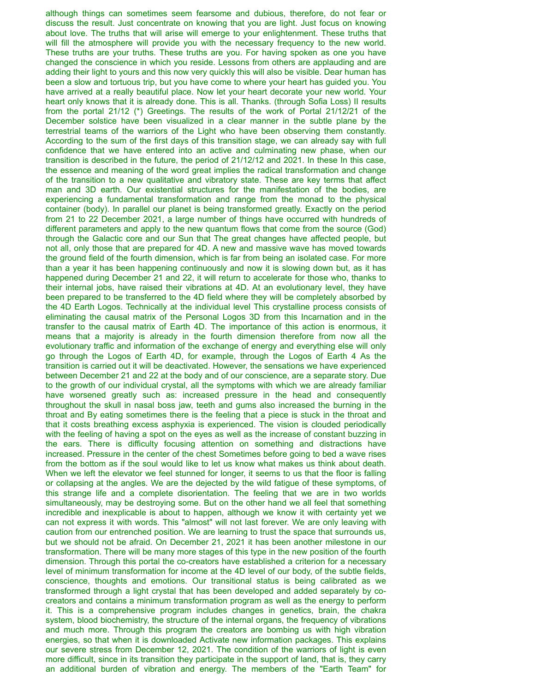although things can sometimes seem fearsome and dubious, therefore, do not fear or discuss the result. Just concentrate on knowing that you are light. Just focus on knowing about love. The truths that will arise will emerge to your enlightenment. These truths that will fill the atmosphere will provide you with the necessary frequency to the new world. These truths are your truths. These truths are you. For having spoken as one you have changed the conscience in which you reside. Lessons from others are applauding and are adding their light to yours and this now very quickly this will also be visible. Dear human has been a slow and tortuous trip, but you have come to where your heart has guided you. You have arrived at a really beautiful place. Now let your heart decorate your new world. Your heart only knows that it is already done. This is all. Thanks. (through Sofia Loss) II results from the portal 21/12 (\*) Greetings. The results of the work of Portal 21/12/21 of the December solstice have been visualized in a clear manner in the subtle plane by the terrestrial teams of the warriors of the Light who have been observing them constantly. According to the sum of the first days of this transition stage, we can already say with full confidence that we have entered into an active and culminating new phase, when our transition is described in the future, the period of 21/12/12 and 2021. In these In this case, the essence and meaning of the word great implies the radical transformation and change of the transition to a new qualitative and vibratory state. These are key terms that affect man and 3D earth. Our existential structures for the manifestation of the bodies, are experiencing a fundamental transformation and range from the monad to the physical container (body). In parallel our planet is being transformed greatly. Exactly on the period from 21 to 22 December 2021, a large number of things have occurred with hundreds of different parameters and apply to the new quantum flows that come from the source (God) through the Galactic core and our Sun that The great changes have affected people, but not all, only those that are prepared for 4D. A new and massive wave has moved towards the ground field of the fourth dimension, which is far from being an isolated case. For more than a year it has been happening continuously and now it is slowing down but, as it has happened during December 21 and 22, it will return to accelerate for those who, thanks to their internal jobs, have raised their vibrations at 4D. At an evolutionary level, they have been prepared to be transferred to the 4D field where they will be completely absorbed by the 4D Earth Logos. Technically at the individual level This crystalline process consists of eliminating the causal matrix of the Personal Logos 3D from this Incarnation and in the transfer to the causal matrix of Earth 4D. The importance of this action is enormous, it means that a majority is already in the fourth dimension therefore from now all the evolutionary traffic and information of the exchange of energy and everything else will only go through the Logos of Earth 4D, for example, through the Logos of Earth 4 As the transition is carried out it will be deactivated. However, the sensations we have experienced between December 21 and 22 at the body and of our conscience, are a separate story. Due to the growth of our individual crystal, all the symptoms with which we are already familiar have worsened greatly such as: increased pressure in the head and consequently throughout the skull in nasal boss jaw, teeth and gums also increased the burning in the throat and By eating sometimes there is the feeling that a piece is stuck in the throat and that it costs breathing excess asphyxia is experienced. The vision is clouded periodically with the feeling of having a spot on the eyes as well as the increase of constant buzzing in the ears. There is difficulty focusing attention on something and distractions have increased. Pressure in the center of the chest Sometimes before going to bed a wave rises from the bottom as if the soul would like to let us know what makes us think about death. When we left the elevator we feel stunned for longer, it seems to us that the floor is falling or collapsing at the angles. We are the dejected by the wild fatigue of these symptoms, of this strange life and a complete disorientation. The feeling that we are in two worlds simultaneously, may be destroying some. But on the other hand we all feel that something incredible and inexplicable is about to happen, although we know it with certainty yet we can not express it with words. This "almost" will not last forever. We are only leaving with caution from our entrenched position. We are learning to trust the space that surrounds us, but we should not be afraid. On December 21, 2021 it has been another milestone in our transformation. There will be many more stages of this type in the new position of the fourth dimension. Through this portal the co-creators have established a criterion for a necessary level of minimum transformation for income at the 4D level of our body, of the subtle fields, conscience, thoughts and emotions. Our transitional status is being calibrated as we transformed through a light crystal that has been developed and added separately by cocreators and contains a minimum transformation program as well as the energy to perform it. This is a comprehensive program includes changes in genetics, brain, the chakra system, blood biochemistry, the structure of the internal organs, the frequency of vibrations and much more. Through this program the creators are bombing us with high vibration energies, so that when it is downloaded Activate new information packages. This explains our severe stress from December 12, 2021. The condition of the warriors of light is even more difficult, since in its transition they participate in the support of land, that is, they carry an additional burden of vibration and energy. The members of the "Earth Team" for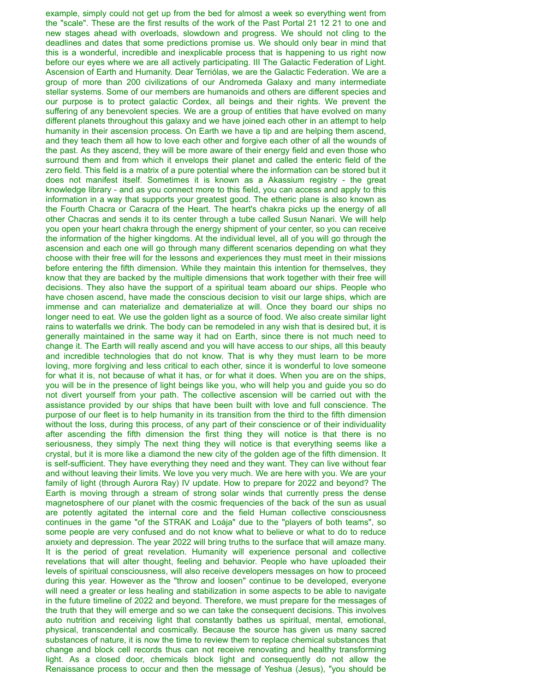example, simply could not get up from the bed for almost a week so everything went from the "scale". These are the first results of the work of the Past Portal 21 12 21 to one and new stages ahead with overloads, slowdown and progress. We should not cling to the deadlines and dates that some predictions promise us. We should only bear in mind that this is a wonderful, incredible and inexplicable process that is happening to us right now before our eyes where we are all actively participating. III The Galactic Federation of Light. Ascension of Earth and Humanity. Dear Terriólas, we are the Galactic Federation. We are a group of more than 200 civilizations of our Andromeda Galaxy and many intermediate stellar systems. Some of our members are humanoids and others are different species and our purpose is to protect galactic Cordex, all beings and their rights. We prevent the suffering of any benevolent species. We are a group of entities that have evolved on many different planets throughout this galaxy and we have joined each other in an attempt to help humanity in their ascension process. On Earth we have a tip and are helping them ascend, and they teach them all how to love each other and forgive each other of all the wounds of the past. As they ascend, they will be more aware of their energy field and even those who surround them and from which it envelops their planet and called the enteric field of the zero field. This field is a matrix of a pure potential where the information can be stored but it does not manifest itself. Sometimes it is known as a Akassium registry - the great knowledge library - and as you connect more to this field, you can access and apply to this information in a way that supports your greatest good. The etheric plane is also known as the Fourth Chacra or Caracra of the Heart. The heart's chakra picks up the energy of all other Chacras and sends it to its center through a tube called Susun Nanari. We will help you open your heart chakra through the energy shipment of your center, so you can receive the information of the higher kingdoms. At the individual level, all of you will go through the ascension and each one will go through many different scenarios depending on what they choose with their free will for the lessons and experiences they must meet in their missions before entering the fifth dimension. While they maintain this intention for themselves, they know that they are backed by the multiple dimensions that work together with their free will decisions. They also have the support of a spiritual team aboard our ships. People who have chosen ascend, have made the conscious decision to visit our large ships, which are immense and can materialize and dematerialize at will. Once they board our ships no longer need to eat. We use the golden light as a source of food. We also create similar light rains to waterfalls we drink. The body can be remodeled in any wish that is desired but, it is generally maintained in the same way it had on Earth, since there is not much need to change it. The Earth will really ascend and you will have access to our ships, all this beauty and incredible technologies that do not know. That is why they must learn to be more loving, more forgiving and less critical to each other, since it is wonderful to love someone for what it is, not because of what it has, or for what it does. When you are on the ships, you will be in the presence of light beings like you, who will help you and guide you so do not divert yourself from your path. The collective ascension will be carried out with the assistance provided by our ships that have been built with love and full conscience. The purpose of our fleet is to help humanity in its transition from the third to the fifth dimension without the loss, during this process, of any part of their conscience or of their individuality after ascending the fifth dimension the first thing they will notice is that there is no seriousness, they simply The next thing they will notice is that everything seems like a crystal, but it is more like a diamond the new city of the golden age of the fifth dimension. It is self-sufficient. They have everything they need and they want. They can live without fear and without leaving their limits. We love you very much. We are here with you. We are your family of light (through Aurora Ray) IV update. How to prepare for 2022 and beyond? The Earth is moving through a stream of strong solar winds that currently press the dense magnetosphere of our planet with the cosmic frequencies of the back of the sun as usual are potently agitated the internal core and the field Human collective consciousness continues in the game "of the STRAK and Loája" due to the "players of both teams", so some people are very confused and do not know what to believe or what to do to reduce anxiety and depression. The year 2022 will bring truths to the surface that will amaze many. It is the period of great revelation. Humanity will experience personal and collective revelations that will alter thought, feeling and behavior. People who have uploaded their levels of spiritual consciousness, will also receive developers messages on how to proceed during this year. However as the "throw and loosen" continue to be developed, everyone will need a greater or less healing and stabilization in some aspects to be able to navigate in the future timeline of 2022 and beyond. Therefore, we must prepare for the messages of the truth that they will emerge and so we can take the consequent decisions. This involves auto nutrition and receiving light that constantly bathes us spiritual, mental, emotional, physical, transcendental and cosmically. Because the source has given us many sacred substances of nature, it is now the time to review them to replace chemical substances that change and block cell records thus can not receive renovating and healthy transforming light. As a closed door, chemicals block light and consequently do not allow the Renaissance process to occur and then the message of Yeshua (Jesus), "you should be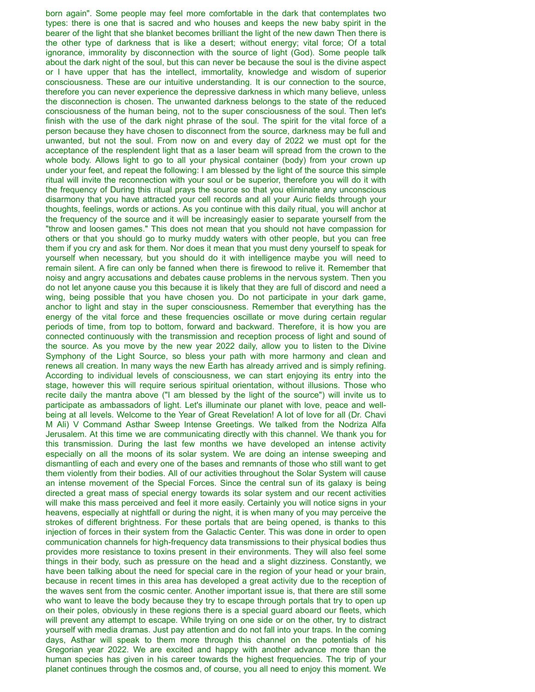born again". Some people may feel more comfortable in the dark that contemplates two types: there is one that is sacred and who houses and keeps the new baby spirit in the bearer of the light that she blanket becomes brilliant the light of the new dawn Then there is the other type of darkness that is like a desert; without energy; vital force; Of a total ignorance, immorality by disconnection with the source of light (God). Some people talk about the dark night of the soul, but this can never be because the soul is the divine aspect or I have upper that has the intellect, immortality, knowledge and wisdom of superior consciousness. These are our intuitive understanding. It is our connection to the source, therefore you can never experience the depressive darkness in which many believe, unless the disconnection is chosen. The unwanted darkness belongs to the state of the reduced consciousness of the human being, not to the super consciousness of the soul. Then let's finish with the use of the dark night phrase of the soul. The spirit for the vital force of a person because they have chosen to disconnect from the source, darkness may be full and unwanted, but not the soul. From now on and every day of 2022 we must opt for the acceptance of the resplendent light that as a laser beam will spread from the crown to the whole body. Allows light to go to all your physical container (body) from your crown up under your feet, and repeat the following: I am blessed by the light of the source this simple ritual will invite the reconnection with your soul or be superior, therefore you will do it with the frequency of During this ritual prays the source so that you eliminate any unconscious disarmony that you have attracted your cell records and all your Auric fields through your thoughts, feelings, words or actions. As you continue with this daily ritual, you will anchor at the frequency of the source and it will be increasingly easier to separate yourself from the "throw and loosen games." This does not mean that you should not have compassion for others or that you should go to murky muddy waters with other people, but you can free them if you cry and ask for them. Nor does it mean that you must deny yourself to speak for yourself when necessary, but you should do it with intelligence maybe you will need to remain silent. A fire can only be fanned when there is firewood to relive it. Remember that noisy and angry accusations and debates cause problems in the nervous system. Then you do not let anyone cause you this because it is likely that they are full of discord and need a wing, being possible that you have chosen you. Do not participate in your dark game, anchor to light and stay in the super consciousness. Remember that everything has the energy of the vital force and these frequencies oscillate or move during certain regular periods of time, from top to bottom, forward and backward. Therefore, it is how you are connected continuously with the transmission and reception process of light and sound of the source. As you move by the new year 2022 daily, allow you to listen to the Divine Symphony of the Light Source, so bless your path with more harmony and clean and renews all creation. In many ways the new Earth has already arrived and is simply refining. According to individual levels of consciousness, we can start enjoying its entry into the stage, however this will require serious spiritual orientation, without illusions. Those who recite daily the mantra above ("I am blessed by the light of the source") will invite us to participate as ambassadors of light. Let's illuminate our planet with love, peace and wellbeing at all levels. Welcome to the Year of Great Revelation! A lot of love for all (Dr. Chavi M Ali) V Command Asthar Sweep Intense Greetings. We talked from the Nodriza Alfa Jerusalem. At this time we are communicating directly with this channel. We thank you for this transmission. During the last few months we have developed an intense activity especially on all the moons of its solar system. We are doing an intense sweeping and dismantling of each and every one of the bases and remnants of those who still want to get them violently from their bodies. All of our activities throughout the Solar System will cause an intense movement of the Special Forces. Since the central sun of its galaxy is being directed a great mass of special energy towards its solar system and our recent activities will make this mass perceived and feel it more easily. Certainly you will notice signs in your heavens, especially at nightfall or during the night, it is when many of you may perceive the strokes of different brightness. For these portals that are being opened, is thanks to this injection of forces in their system from the Galactic Center. This was done in order to open communication channels for high-frequency data transmissions to their physical bodies thus provides more resistance to toxins present in their environments. They will also feel some things in their body, such as pressure on the head and a slight dizziness. Constantly, we have been talking about the need for special care in the region of your head or your brain, because in recent times in this area has developed a great activity due to the reception of the waves sent from the cosmic center. Another important issue is, that there are still some who want to leave the body because they try to escape through portals that try to open up on their poles, obviously in these regions there is a special guard aboard our fleets, which will prevent any attempt to escape. While trying on one side or on the other, try to distract yourself with media dramas. Just pay attention and do not fall into your traps. In the coming days, Asthar will speak to them more through this channel on the potentials of his Gregorian year 2022. We are excited and happy with another advance more than the human species has given in his career towards the highest frequencies. The trip of your planet continues through the cosmos and, of course, you all need to enjoy this moment. We